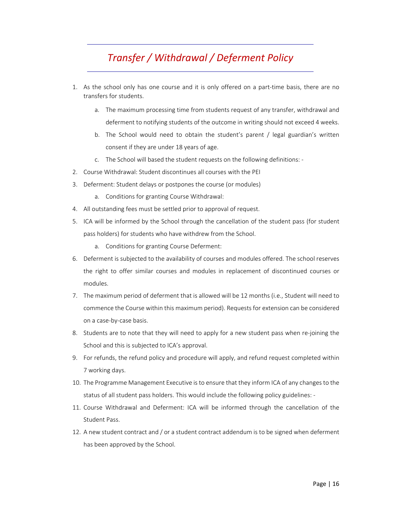## *Transfer / Withdrawal / Deferment Policy*

- 1. As the school only has one course and it is only offered on a part‐time basis, there are no transfers for students.
	- a. The maximum processing time from students request of any transfer, withdrawal and deferment to notifying students of the outcome in writing should not exceed 4 weeks.
	- b. The School would need to obtain the student's parent / legal guardian's written consent if they are under 18 years of age.
	- c. The School will based the student requests on the following definitions: ‐
- 2. Course Withdrawal: Student discontinues all courses with the PEI
- 3. Deferment: Student delays or postpones the course (or modules)
	- a. Conditions for granting Course Withdrawal:
- 4. All outstanding fees must be settled prior to approval of request.
- 5. ICA will be informed by the School through the cancellation of the student pass (for student pass holders) for students who have withdrew from the School.
	- a. Conditions for granting Course Deferment:
- 6. Deferment is subjected to the availability of courses and modules offered. The school reserves the right to offer similar courses and modules in replacement of discontinued courses or modules.
- 7. The maximum period of deferment that is allowed will be 12 months (i.e., Student will need to commence the Course within this maximum period). Requests for extension can be considered on a case‐by‐case basis.
- 8. Students are to note that they will need to apply for a new student pass when re-joining the School and this is subjected to ICA's approval.
- 9. For refunds, the refund policy and procedure will apply, and refund request completed within 7 working days.
- 10. The Programme Management Executive is to ensure that they inform ICA of any changes to the status of all student pass holders. This would include the following policy guidelines: ‐
- 11. Course Withdrawal and Deferment: ICA will be informed through the cancellation of the Student Pass.
- 12. A new student contract and / or a student contract addendum is to be signed when deferment has been approved by the School.